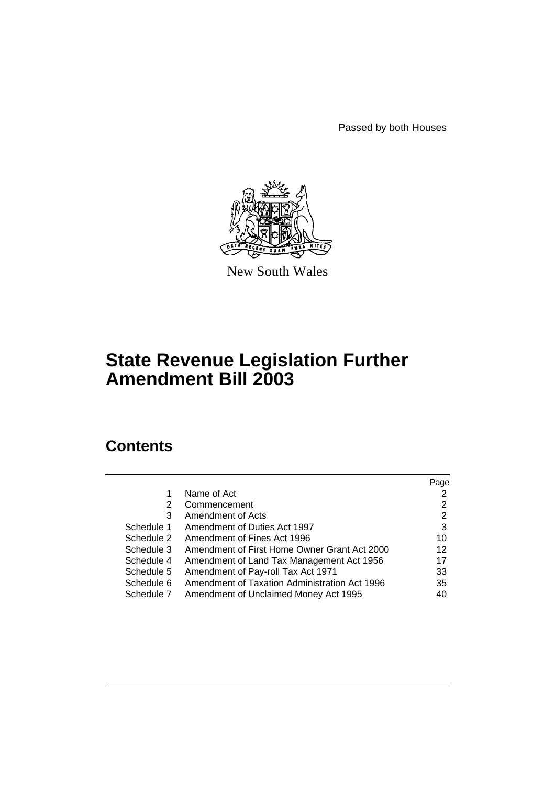Passed by both Houses



New South Wales

# **State Revenue Legislation Further Amendment Bill 2003**

# **Contents**

|            |                                               | Page |
|------------|-----------------------------------------------|------|
| 1          | Name of Act                                   | 2    |
| 2          | Commencement                                  | 2    |
| 3          | Amendment of Acts                             | 2    |
| Schedule 1 | Amendment of Duties Act 1997                  | 3    |
| Schedule 2 | Amendment of Fines Act 1996                   | 10   |
| Schedule 3 | Amendment of First Home Owner Grant Act 2000  | 12   |
| Schedule 4 | Amendment of Land Tax Management Act 1956     | 17   |
| Schedule 5 | Amendment of Pay-roll Tax Act 1971            | 33   |
| Schedule 6 | Amendment of Taxation Administration Act 1996 | 35   |
| Schedule 7 | Amendment of Unclaimed Money Act 1995         | 40   |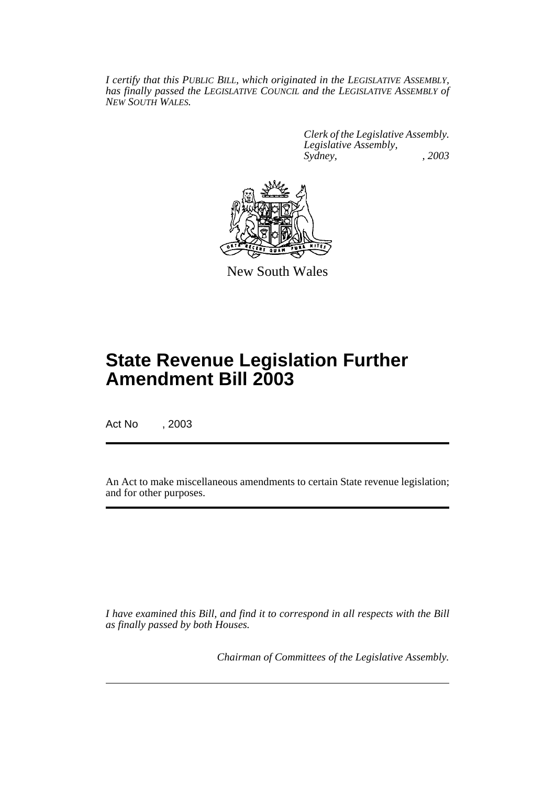*I certify that this PUBLIC BILL, which originated in the LEGISLATIVE ASSEMBLY, has finally passed the LEGISLATIVE COUNCIL and the LEGISLATIVE ASSEMBLY of NEW SOUTH WALES.*

> *Clerk of the Legislative Assembly. Legislative Assembly, Sydney, , 2003*



New South Wales

# **State Revenue Legislation Further Amendment Bill 2003**

Act No , 2003

An Act to make miscellaneous amendments to certain State revenue legislation; and for other purposes.

*I have examined this Bill, and find it to correspond in all respects with the Bill as finally passed by both Houses.*

*Chairman of Committees of the Legislative Assembly.*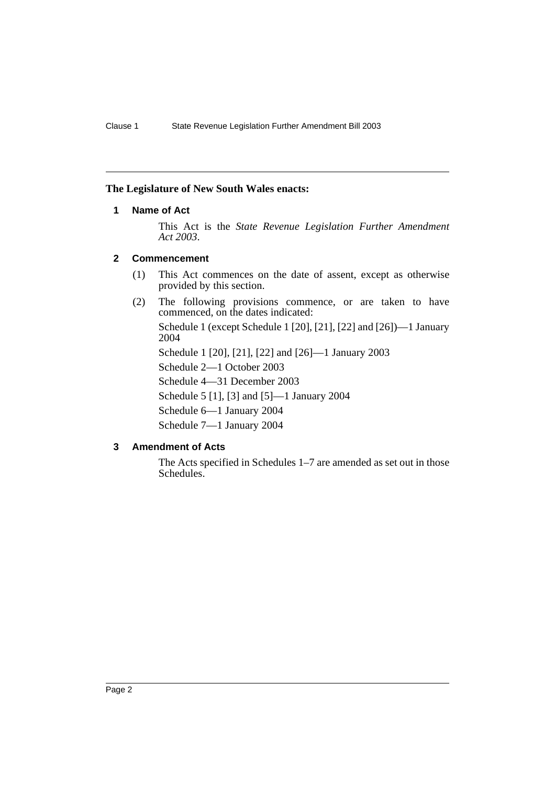#### **The Legislature of New South Wales enacts:**

#### **1 Name of Act**

This Act is the *State Revenue Legislation Further Amendment Act 2003*.

#### **2 Commencement**

- (1) This Act commences on the date of assent, except as otherwise provided by this section.
- (2) The following provisions commence, or are taken to have commenced, on the dates indicated:

Schedule 1 (except Schedule 1 [20], [21], [22] and [26])—1 January 2004

Schedule 1 [20], [21], [22] and [26]—1 January 2003

Schedule 2—1 October 2003

Schedule 4—31 December 2003

Schedule 5 [1], [3] and [5]—1 January 2004

Schedule 6—1 January 2004

Schedule 7—1 January 2004

### **3 Amendment of Acts**

The Acts specified in Schedules 1–7 are amended as set out in those Schedules.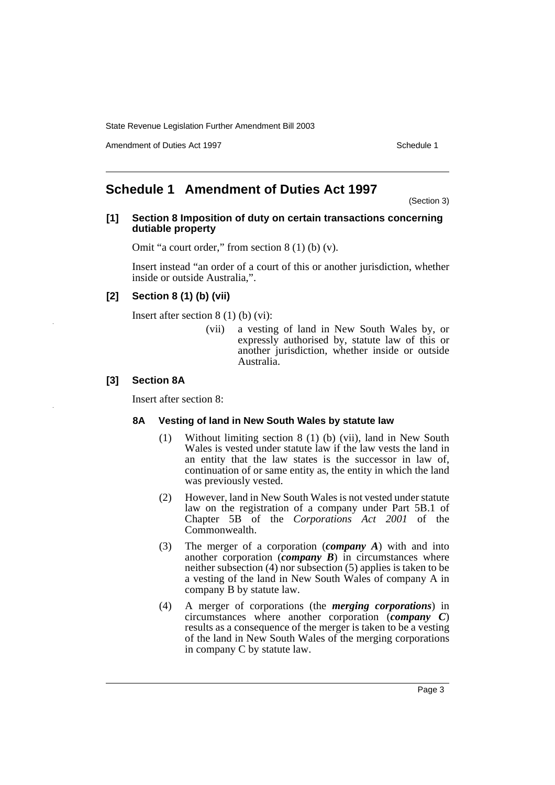Amendment of Duties Act 1997 New York 1997 New York 1997 New York 1997

## **Schedule 1 Amendment of Duties Act 1997**

(Section 3)

#### **[1] Section 8 Imposition of duty on certain transactions concerning dutiable property**

Omit "a court order," from section 8 (1) (b) (v).

Insert instead "an order of a court of this or another jurisdiction, whether inside or outside Australia,".

#### **[2] Section 8 (1) (b) (vii)**

Insert after section 8 (1) (b) (vi):

(vii) a vesting of land in New South Wales by, or expressly authorised by, statute law of this or another jurisdiction, whether inside or outside Australia.

#### **[3] Section 8A**

Insert after section 8:

#### **8A Vesting of land in New South Wales by statute law**

- (1) Without limiting section 8 (1) (b) (vii), land in New South Wales is vested under statute law if the law vests the land in an entity that the law states is the successor in law of, continuation of or same entity as, the entity in which the land was previously vested.
- (2) However, land in New South Wales is not vested under statute law on the registration of a company under Part 5B.1 of Chapter 5B of the *Corporations Act 2001* of the Commonwealth.
- (3) The merger of a corporation (*company A*) with and into another corporation (*company B*) in circumstances where neither subsection (4) nor subsection (5) applies is taken to be a vesting of the land in New South Wales of company A in company B by statute law.
- (4) A merger of corporations (the *merging corporations*) in circumstances where another corporation (*company C*) results as a consequence of the merger is taken to be a vesting of the land in New South Wales of the merging corporations in company C by statute law.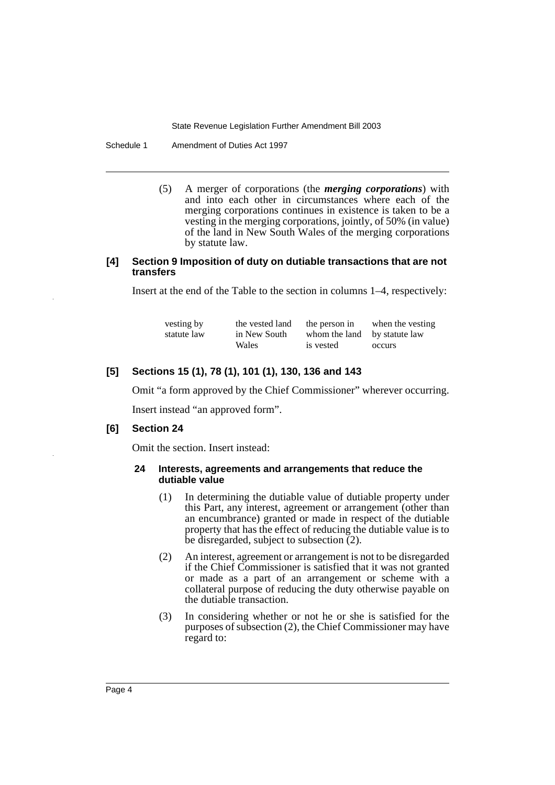Schedule 1 Amendment of Duties Act 1997

(5) A merger of corporations (the *merging corporations*) with and into each other in circumstances where each of the merging corporations continues in existence is taken to be a vesting in the merging corporations, jointly, of 50% (in value) of the land in New South Wales of the merging corporations by statute law.

#### **[4] Section 9 Imposition of duty on dutiable transactions that are not transfers**

Insert at the end of the Table to the section in columns 1–4, respectively:

| vesting by  | the vested land | the person in                | when the vesting |
|-------------|-----------------|------------------------------|------------------|
| statute law | in New South    | whom the land by statute law |                  |
|             | Wales           | is vested                    | occurs           |

### **[5] Sections 15 (1), 78 (1), 101 (1), 130, 136 and 143**

Omit "a form approved by the Chief Commissioner" wherever occurring.

Insert instead "an approved form".

#### **[6] Section 24**

Omit the section. Insert instead:

#### **24 Interests, agreements and arrangements that reduce the dutiable value**

- (1) In determining the dutiable value of dutiable property under this Part, any interest, agreement or arrangement (other than an encumbrance) granted or made in respect of the dutiable property that has the effect of reducing the dutiable value is to be disregarded, subject to subsection (2).
- (2) An interest, agreement or arrangement is not to be disregarded if the Chief Commissioner is satisfied that it was not granted or made as a part of an arrangement or scheme with a collateral purpose of reducing the duty otherwise payable on the dutiable transaction.
- (3) In considering whether or not he or she is satisfied for the purposes of subsection (2), the Chief Commissioner may have regard to: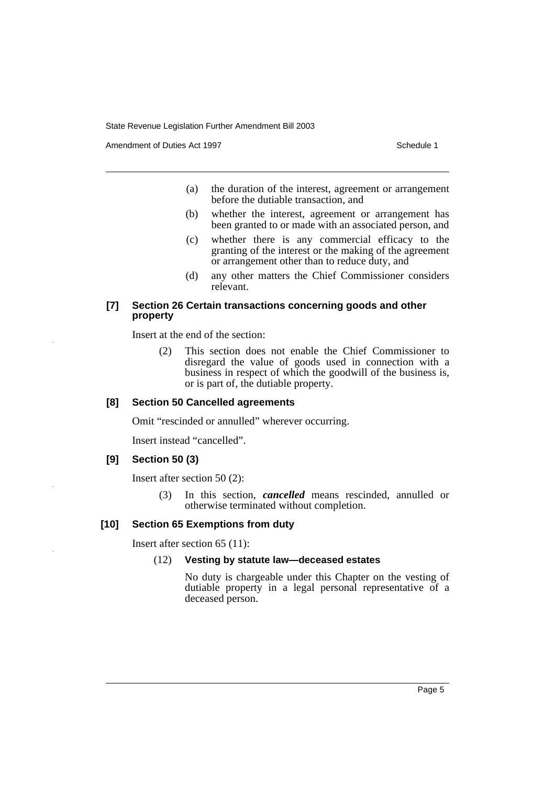Amendment of Duties Act 1997 New York 1997 New York 1997 New York 1997

- (a) the duration of the interest, agreement or arrangement before the dutiable transaction, and
- (b) whether the interest, agreement or arrangement has been granted to or made with an associated person, and
- (c) whether there is any commercial efficacy to the granting of the interest or the making of the agreement or arrangement other than to reduce duty, and
- (d) any other matters the Chief Commissioner considers relevant.

#### **[7] Section 26 Certain transactions concerning goods and other property**

Insert at the end of the section:

(2) This section does not enable the Chief Commissioner to disregard the value of goods used in connection with a business in respect of which the goodwill of the business is, or is part of, the dutiable property.

#### **[8] Section 50 Cancelled agreements**

Omit "rescinded or annulled" wherever occurring.

Insert instead "cancelled".

#### **[9] Section 50 (3)**

Insert after section 50 (2):

(3) In this section, *cancelled* means rescinded, annulled or otherwise terminated without completion.

#### **[10] Section 65 Exemptions from duty**

Insert after section 65 (11):

#### (12) **Vesting by statute law—deceased estates**

No duty is chargeable under this Chapter on the vesting of dutiable property in a legal personal representative of a deceased person.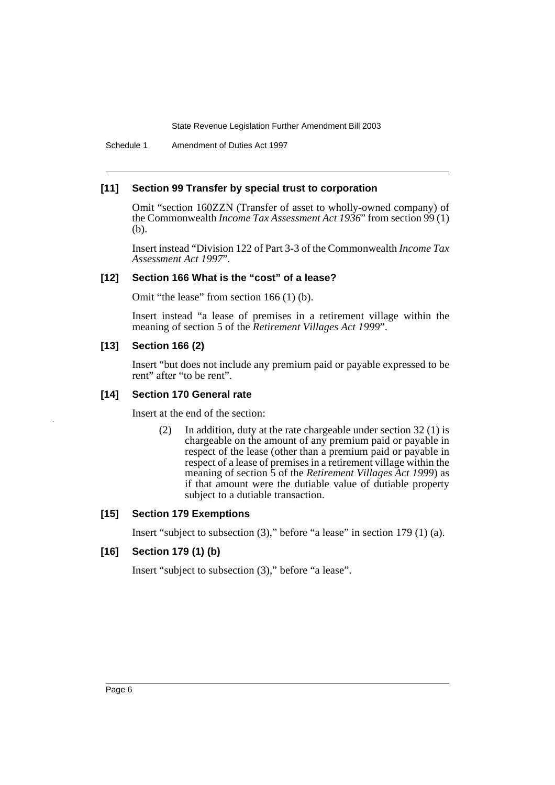Schedule 1 Amendment of Duties Act 1997

#### **[11] Section 99 Transfer by special trust to corporation**

Omit "section 160ZZN (Transfer of asset to wholly-owned company) of the Commonwealth *Income Tax Assessment Act 1936*" from section 99 (1) (b).

Insert instead "Division 122 of Part 3-3 of the Commonwealth *Income Tax Assessment Act 1997*".

### **[12] Section 166 What is the "cost" of a lease?**

Omit "the lease" from section 166 (1) (b).

Insert instead "a lease of premises in a retirement village within the meaning of section 5 of the *Retirement Villages Act 1999*".

#### **[13] Section 166 (2)**

Insert "but does not include any premium paid or payable expressed to be rent" after "to be rent".

#### **[14] Section 170 General rate**

Insert at the end of the section:

(2) In addition, duty at the rate chargeable under section 32 (1) is chargeable on the amount of any premium paid or payable in respect of the lease (other than a premium paid or payable in respect of a lease of premises in a retirement village within the meaning of section 5 of the *Retirement Villages Act 1999*) as if that amount were the dutiable value of dutiable property subject to a dutiable transaction.

#### **[15] Section 179 Exemptions**

Insert "subject to subsection (3)," before "a lease" in section 179 (1) (a).

### **[16] Section 179 (1) (b)**

Insert "subject to subsection (3)," before "a lease".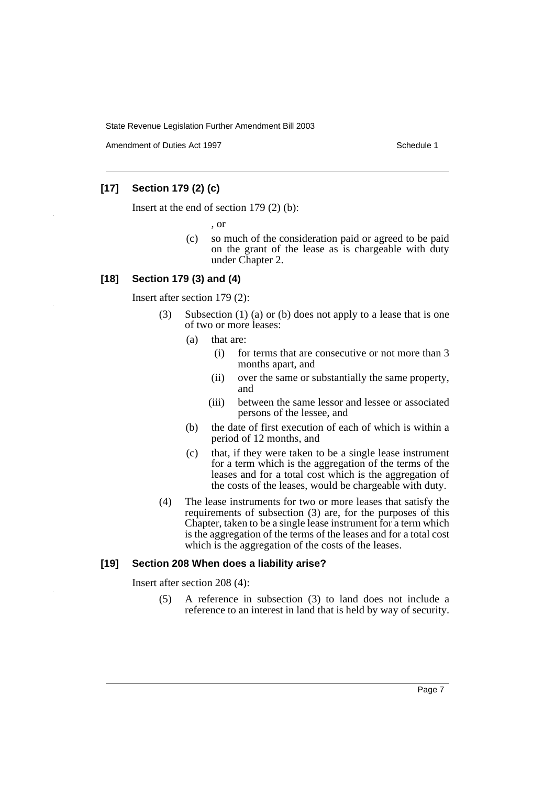Amendment of Duties Act 1997 New York 1997 New York 1997 New York 1997

### **[17] Section 179 (2) (c)**

Insert at the end of section 179 (2) (b):

, or

(c) so much of the consideration paid or agreed to be paid on the grant of the lease as is chargeable with duty under Chapter 2.

#### **[18] Section 179 (3) and (4)**

Insert after section 179 (2):

- (3) Subsection (1) (a) or (b) does not apply to a lease that is one of two or more leases:
	- (a) that are:
		- (i) for terms that are consecutive or not more than 3 months apart, and
		- (ii) over the same or substantially the same property, and
		- (iii) between the same lessor and lessee or associated persons of the lessee, and
	- (b) the date of first execution of each of which is within a period of 12 months, and
	- (c) that, if they were taken to be a single lease instrument for a term which is the aggregation of the terms of the leases and for a total cost which is the aggregation of the costs of the leases, would be chargeable with duty.
- (4) The lease instruments for two or more leases that satisfy the requirements of subsection (3) are, for the purposes of this Chapter, taken to be a single lease instrument for a term which is the aggregation of the terms of the leases and for a total cost which is the aggregation of the costs of the leases.

#### **[19] Section 208 When does a liability arise?**

Insert after section 208 (4):

(5) A reference in subsection (3) to land does not include a reference to an interest in land that is held by way of security.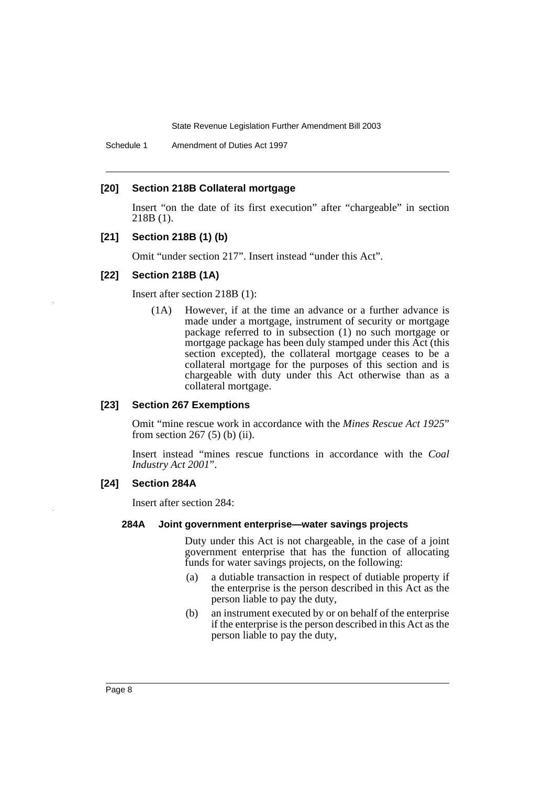Schedule 1 Amendment of Duties Act 1997

#### **[20] Section 218B Collateral mortgage**

Insert "on the date of its first execution" after "chargeable" in section 218B (1).

#### **[21] Section 218B (1) (b)**

Omit "under section 217". Insert instead "under this Act".

#### **[22] Section 218B (1A)**

Insert after section 218B (1):

(1A) However, if at the time an advance or a further advance is made under a mortgage, instrument of security or mortgage package referred to in subsection (1) no such mortgage or mortgage package has been duly stamped under this Act (this section excepted), the collateral mortgage ceases to be a collateral mortgage for the purposes of this section and is chargeable with duty under this Act otherwise than as a collateral mortgage.

#### **[23] Section 267 Exemptions**

Omit "mine rescue work in accordance with the *Mines Rescue Act 1925*" from section  $267(5)$  (b) (ii).

Insert instead "mines rescue functions in accordance with the *Coal Industry Act 2001*".

#### **[24] Section 284A**

Insert after section 284:

#### **284A Joint government enterprise—water savings projects**

Duty under this Act is not chargeable, in the case of a joint government enterprise that has the function of allocating funds for water savings projects, on the following:

- (a) a dutiable transaction in respect of dutiable property if the enterprise is the person described in this Act as the person liable to pay the duty,
- (b) an instrument executed by or on behalf of the enterprise if the enterprise is the person described in this Act as the person liable to pay the duty,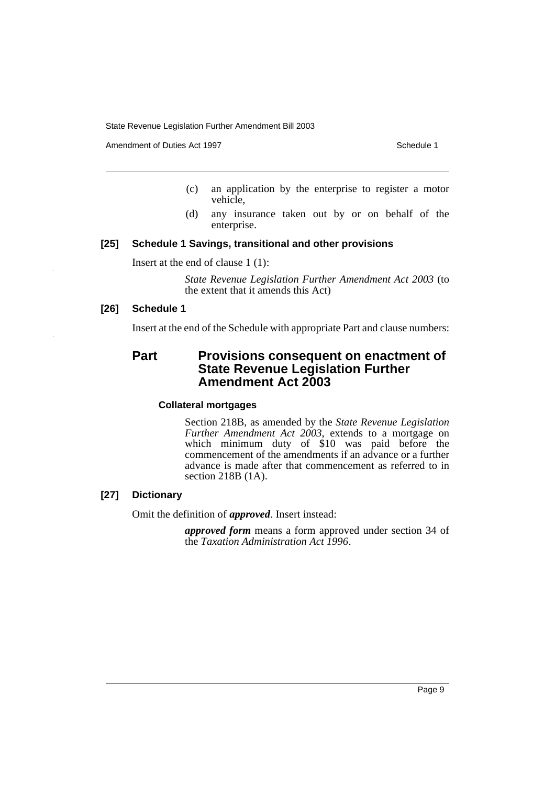Amendment of Duties Act 1997 November 2008 and the Schedule 1

- (c) an application by the enterprise to register a motor vehicle,
- (d) any insurance taken out by or on behalf of the enterprise.

#### **[25] Schedule 1 Savings, transitional and other provisions**

Insert at the end of clause 1 (1):

*State Revenue Legislation Further Amendment Act 2003* (to the extent that it amends this Act)

#### **[26] Schedule 1**

Insert at the end of the Schedule with appropriate Part and clause numbers:

### **Part Provisions consequent on enactment of State Revenue Legislation Further Amendment Act 2003**

#### **Collateral mortgages**

Section 218B, as amended by the *State Revenue Legislation Further Amendment Act 2003*, extends to a mortgage on which minimum duty of \$10 was paid before the commencement of the amendments if an advance or a further advance is made after that commencement as referred to in section 218B (1A).

#### **[27] Dictionary**

Omit the definition of *approved*. Insert instead:

*approved form* means a form approved under section 34 of the *Taxation Administration Act 1996*.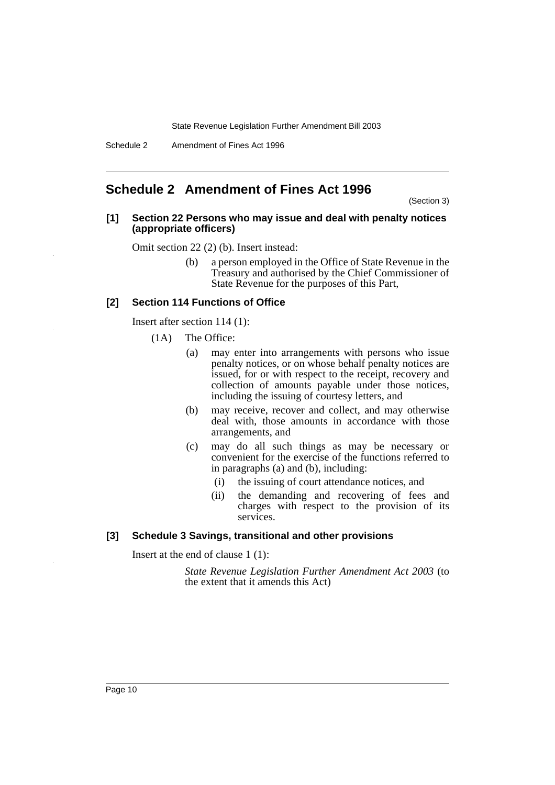### **Schedule 2 Amendment of Fines Act 1996**

(Section 3)

#### **[1] Section 22 Persons who may issue and deal with penalty notices (appropriate officers)**

Omit section 22 (2) (b). Insert instead:

(b) a person employed in the Office of State Revenue in the Treasury and authorised by the Chief Commissioner of State Revenue for the purposes of this Part,

#### **[2] Section 114 Functions of Office**

Insert after section 114 (1):

(1A) The Office:

- (a) may enter into arrangements with persons who issue penalty notices, or on whose behalf penalty notices are issued, for or with respect to the receipt, recovery and collection of amounts payable under those notices, including the issuing of courtesy letters, and
- (b) may receive, recover and collect, and may otherwise deal with, those amounts in accordance with those arrangements, and
- (c) may do all such things as may be necessary or convenient for the exercise of the functions referred to in paragraphs (a) and (b), including:
	- (i) the issuing of court attendance notices, and
	- (ii) the demanding and recovering of fees and charges with respect to the provision of its services.

#### **[3] Schedule 3 Savings, transitional and other provisions**

Insert at the end of clause 1 (1):

*State Revenue Legislation Further Amendment Act 2003* (to the extent that it amends this Act)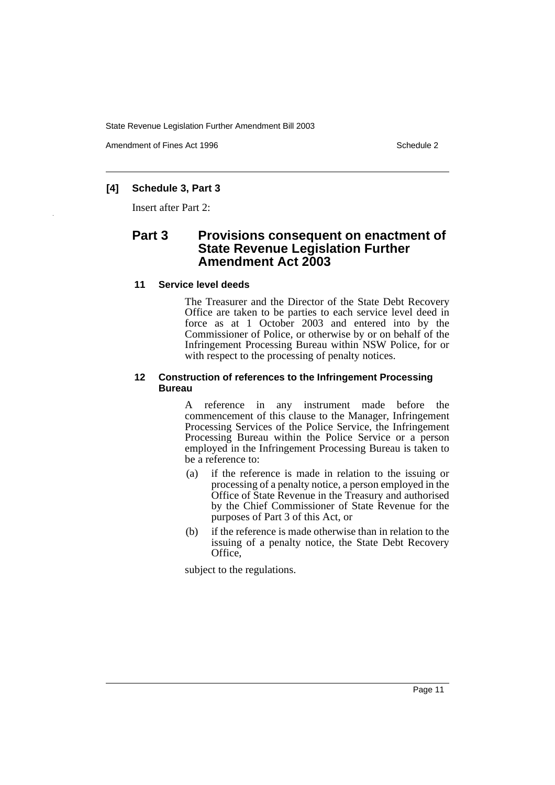Amendment of Fines Act 1996 Schedule 2

#### **[4] Schedule 3, Part 3**

Insert after Part 2:

### **Part 3 Provisions consequent on enactment of State Revenue Legislation Further Amendment Act 2003**

#### **11 Service level deeds**

The Treasurer and the Director of the State Debt Recovery Office are taken to be parties to each service level deed in force as at 1 October 2003 and entered into by the Commissioner of Police, or otherwise by or on behalf of the Infringement Processing Bureau within NSW Police, for or with respect to the processing of penalty notices.

#### **12 Construction of references to the Infringement Processing Bureau**

A reference in any instrument made before the commencement of this clause to the Manager, Infringement Processing Services of the Police Service, the Infringement Processing Bureau within the Police Service or a person employed in the Infringement Processing Bureau is taken to be a reference to:

- (a) if the reference is made in relation to the issuing or processing of a penalty notice, a person employed in the Office of State Revenue in the Treasury and authorised by the Chief Commissioner of State Revenue for the purposes of Part 3 of this Act, or
- (b) if the reference is made otherwise than in relation to the issuing of a penalty notice, the State Debt Recovery Office,

subject to the regulations.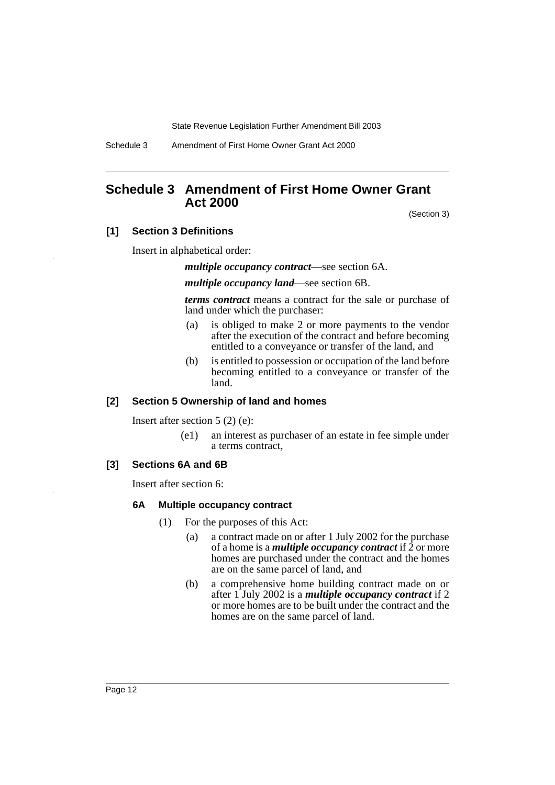Schedule 3 Amendment of First Home Owner Grant Act 2000

### **Schedule 3 Amendment of First Home Owner Grant Act 2000**

(Section 3)

#### **[1] Section 3 Definitions**

Insert in alphabetical order:

*multiple occupancy contract*—see section 6A.

*multiple occupancy land*—see section 6B.

*terms contract* means a contract for the sale or purchase of land under which the purchaser:

- (a) is obliged to make 2 or more payments to the vendor after the execution of the contract and before becoming entitled to a conveyance or transfer of the land, and
- (b) is entitled to possession or occupation of the land before becoming entitled to a conveyance or transfer of the land.

#### **[2] Section 5 Ownership of land and homes**

Insert after section 5 (2) (e):

(e1) an interest as purchaser of an estate in fee simple under a terms contract,

#### **[3] Sections 6A and 6B**

Insert after section 6:

#### **6A Multiple occupancy contract**

- (1) For the purposes of this Act:
	- (a) a contract made on or after 1 July 2002 for the purchase of a home is a *multiple occupancy contract* if  $\overline{2}$  or more homes are purchased under the contract and the homes are on the same parcel of land, and
	- (b) a comprehensive home building contract made on or after 1 July 2002 is a *multiple occupancy contract* if 2 or more homes are to be built under the contract and the homes are on the same parcel of land.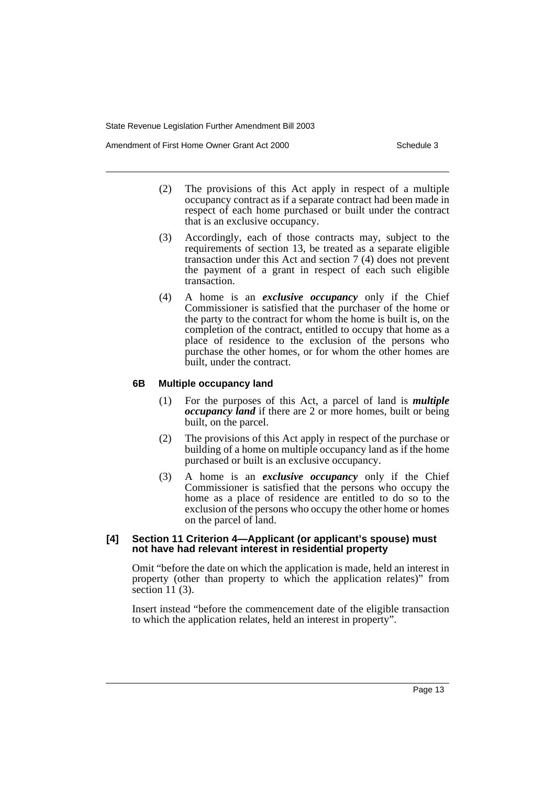Amendment of First Home Owner Grant Act 2000 Schedule 3

- (2) The provisions of this Act apply in respect of a multiple occupancy contract as if a separate contract had been made in respect of each home purchased or built under the contract that is an exclusive occupancy.
- (3) Accordingly, each of those contracts may, subject to the requirements of section 13, be treated as a separate eligible transaction under this Act and section 7 (4) does not prevent the payment of a grant in respect of each such eligible transaction.
- (4) A home is an *exclusive occupancy* only if the Chief Commissioner is satisfied that the purchaser of the home or the party to the contract for whom the home is built is, on the completion of the contract, entitled to occupy that home as a place of residence to the exclusion of the persons who purchase the other homes, or for whom the other homes are built, under the contract.

#### **6B Multiple occupancy land**

- (1) For the purposes of this Act, a parcel of land is *multiple occupancy land* if there are 2 or more homes, built or being built, on the parcel.
- (2) The provisions of this Act apply in respect of the purchase or building of a home on multiple occupancy land as if the home purchased or built is an exclusive occupancy.
- (3) A home is an *exclusive occupancy* only if the Chief Commissioner is satisfied that the persons who occupy the home as a place of residence are entitled to do so to the exclusion of the persons who occupy the other home or homes on the parcel of land.

#### **[4] Section 11 Criterion 4—Applicant (or applicant's spouse) must not have had relevant interest in residential property**

Omit "before the date on which the application is made, held an interest in property (other than property to which the application relates)" from section  $11(3)$ .

Insert instead "before the commencement date of the eligible transaction to which the application relates, held an interest in property".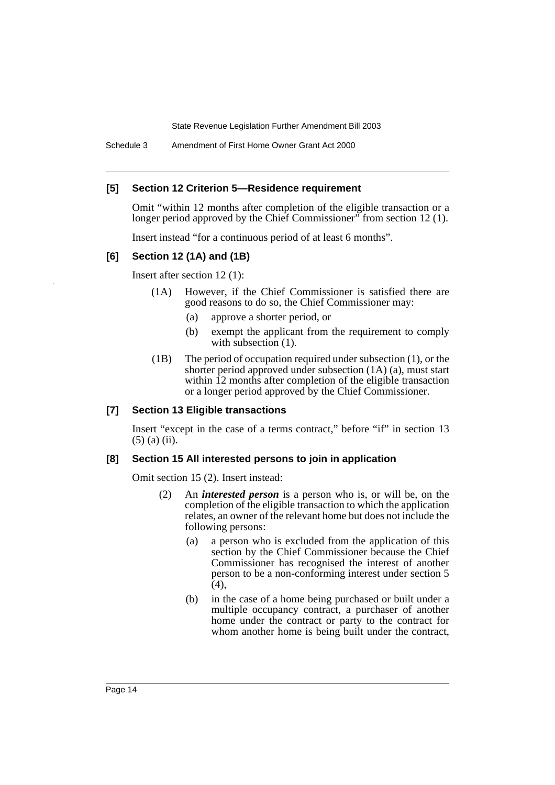Schedule 3 Amendment of First Home Owner Grant Act 2000

#### **[5] Section 12 Criterion 5—Residence requirement**

Omit "within 12 months after completion of the eligible transaction or a longer period approved by the Chief Commissioner" from section 12 (1).

Insert instead "for a continuous period of at least 6 months".

#### **[6] Section 12 (1A) and (1B)**

Insert after section 12 (1):

- (1A) However, if the Chief Commissioner is satisfied there are good reasons to do so, the Chief Commissioner may:
	- (a) approve a shorter period, or
	- (b) exempt the applicant from the requirement to comply with subsection  $(1)$ .
- (1B) The period of occupation required under subsection (1), or the shorter period approved under subsection (1A) (a), must start within 12 months after completion of the eligible transaction or a longer period approved by the Chief Commissioner.

#### **[7] Section 13 Eligible transactions**

Insert "except in the case of a terms contract," before "if" in section 13 (5) (a) (ii).

#### **[8] Section 15 All interested persons to join in application**

Omit section 15 (2). Insert instead:

- (2) An *interested person* is a person who is, or will be, on the completion of the eligible transaction to which the application relates, an owner of the relevant home but does not include the following persons:
	- (a) a person who is excluded from the application of this section by the Chief Commissioner because the Chief Commissioner has recognised the interest of another person to be a non-conforming interest under section 5 (4),
	- (b) in the case of a home being purchased or built under a multiple occupancy contract, a purchaser of another home under the contract or party to the contract for whom another home is being built under the contract,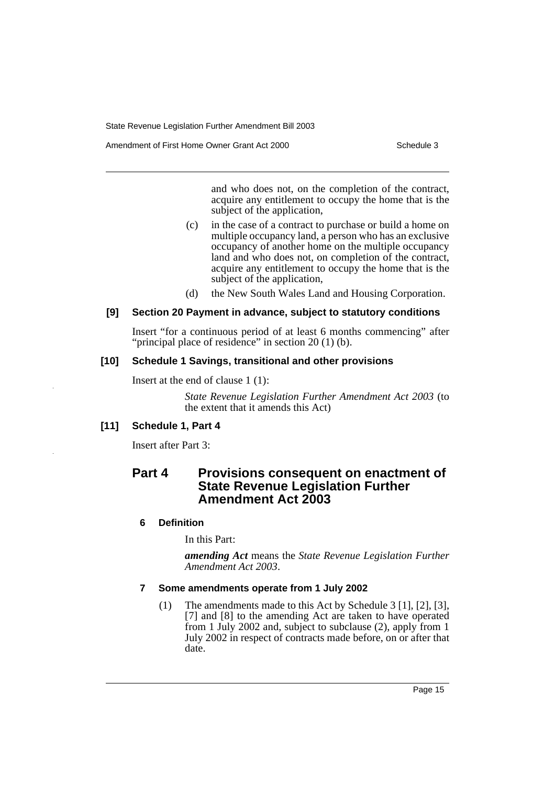Amendment of First Home Owner Grant Act 2000 Schedule 3

and who does not, on the completion of the contract, acquire any entitlement to occupy the home that is the subject of the application,

- (c) in the case of a contract to purchase or build a home on multiple occupancy land, a person who has an exclusive occupancy of another home on the multiple occupancy land and who does not, on completion of the contract, acquire any entitlement to occupy the home that is the subject of the application,
- (d) the New South Wales Land and Housing Corporation.

#### **[9] Section 20 Payment in advance, subject to statutory conditions**

Insert "for a continuous period of at least 6 months commencing" after "principal place of residence" in section 20 (1) (b).

#### **[10] Schedule 1 Savings, transitional and other provisions**

Insert at the end of clause 1 (1):

*State Revenue Legislation Further Amendment Act 2003* (to the extent that it amends this Act)

### **[11] Schedule 1, Part 4**

Insert after Part 3:

### **Part 4 Provisions consequent on enactment of State Revenue Legislation Further Amendment Act 2003**

### **6 Definition**

In this Part:

*amending Act* means the *State Revenue Legislation Further Amendment Act 2003*.

#### **7 Some amendments operate from 1 July 2002**

(1) The amendments made to this Act by Schedule 3 [1], [2], [3], [7] and [8] to the amending Act are taken to have operated from 1 July 2002 and, subject to subclause (2), apply from 1 July 2002 in respect of contracts made before, on or after that date.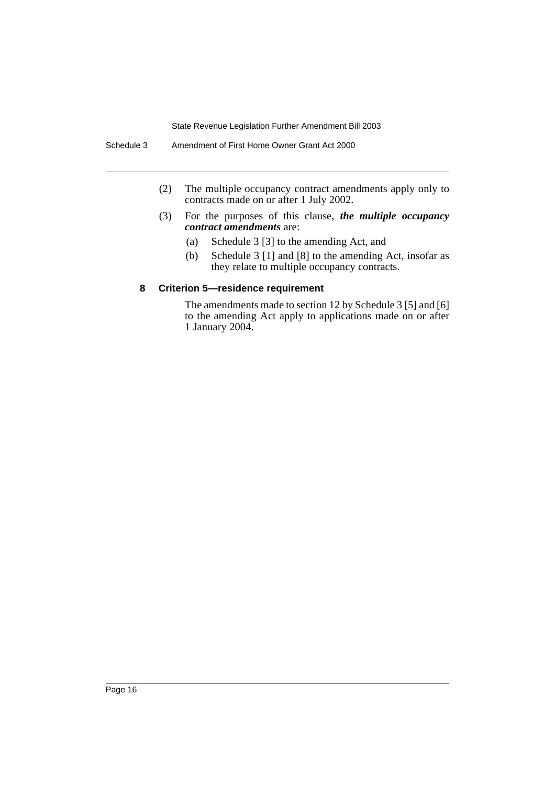- (2) The multiple occupancy contract amendments apply only to contracts made on or after 1 July 2002.
- (3) For the purposes of this clause, *the multiple occupancy contract amendments* are:
	- (a) Schedule 3 [3] to the amending Act, and
	- (b) Schedule 3 [1] and [8] to the amending Act, insofar as they relate to multiple occupancy contracts.

#### **8 Criterion 5—residence requirement**

The amendments made to section 12 by Schedule 3 [5] and [6] to the amending Act apply to applications made on or after 1 January 2004.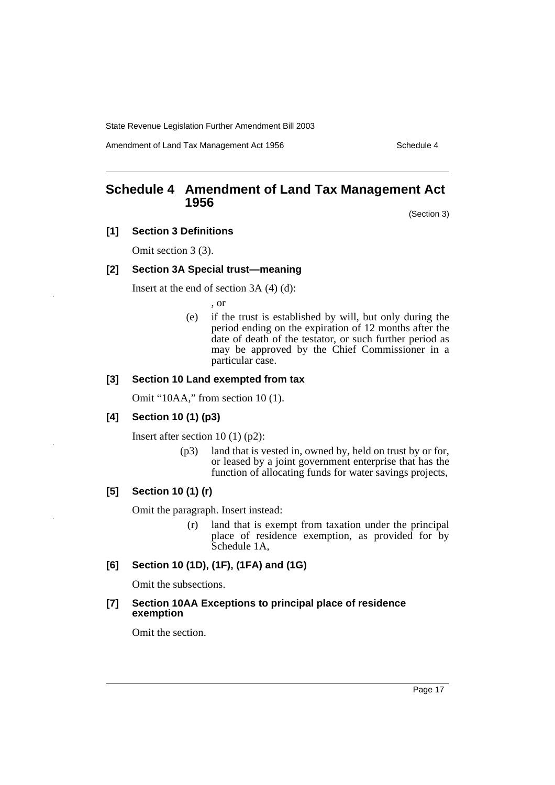Amendment of Land Tax Management Act 1956 Schedule 4

### **Schedule 4 Amendment of Land Tax Management Act 1956**

(Section 3)

**[1] Section 3 Definitions**

Omit section 3 (3).

#### **[2] Section 3A Special trust—meaning**

Insert at the end of section 3A (4) (d):

, or

(e) if the trust is established by will, but only during the period ending on the expiration of 12 months after the date of death of the testator, or such further period as may be approved by the Chief Commissioner in a particular case.

#### **[3] Section 10 Land exempted from tax**

Omit "10AA," from section 10 (1).

#### **[4] Section 10 (1) (p3)**

Insert after section 10 (1) (p2):

(p3) land that is vested in, owned by, held on trust by or for, or leased by a joint government enterprise that has the function of allocating funds for water savings projects,

#### **[5] Section 10 (1) (r)**

Omit the paragraph. Insert instead:

(r) land that is exempt from taxation under the principal place of residence exemption, as provided for by Schedule 1A,

#### **[6] Section 10 (1D), (1F), (1FA) and (1G)**

Omit the subsections.

#### **[7] Section 10AA Exceptions to principal place of residence exemption**

Omit the section.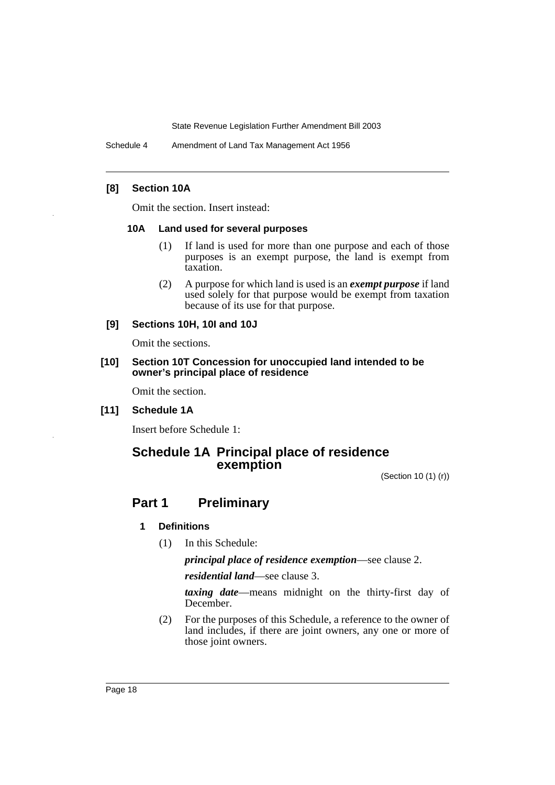Schedule 4 Amendment of Land Tax Management Act 1956

#### **[8] Section 10A**

Omit the section. Insert instead:

#### **10A Land used for several purposes**

- (1) If land is used for more than one purpose and each of those purposes is an exempt purpose, the land is exempt from taxation.
- (2) A purpose for which land is used is an *exempt purpose* if land used solely for that purpose would be exempt from taxation because of its use for that purpose.

#### **[9] Sections 10H, 10I and 10J**

Omit the sections.

**[10] Section 10T Concession for unoccupied land intended to be owner's principal place of residence**

Omit the section.

**[11] Schedule 1A**

Insert before Schedule 1:

### **Schedule 1A Principal place of residence exemption**

(Section 10 (1) (r))

### **Part 1 Preliminary**

#### **1 Definitions**

(1) In this Schedule:

*principal place of residence exemption*—see clause 2.

*residential land*—see clause 3.

*taxing date*—means midnight on the thirty-first day of December.

(2) For the purposes of this Schedule, a reference to the owner of land includes, if there are joint owners, any one or more of those joint owners.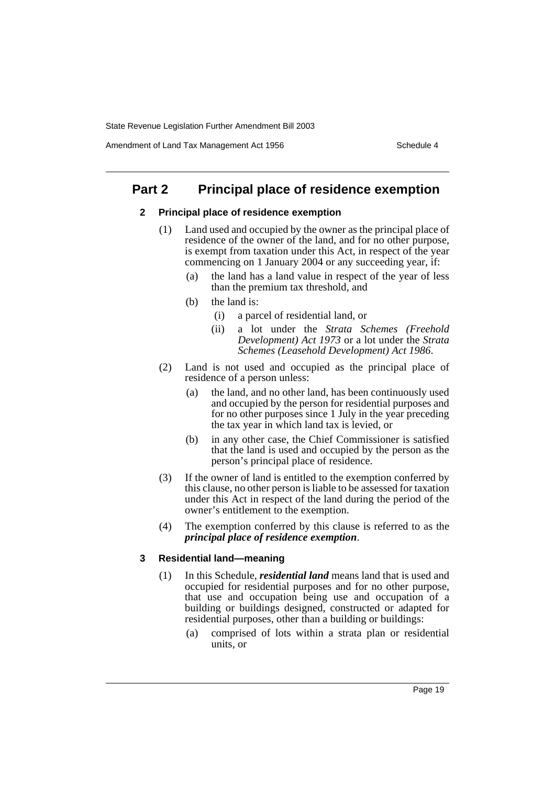Amendment of Land Tax Management Act 1956 Schedule 4

### **Part 2 Principal place of residence exemption**

#### **2 Principal place of residence exemption**

- (1) Land used and occupied by the owner as the principal place of residence of the owner of the land, and for no other purpose, is exempt from taxation under this Act, in respect of the year commencing on 1 January 2004 or any succeeding year, if:
	- (a) the land has a land value in respect of the year of less than the premium tax threshold, and
	- (b) the land is:
		- (i) a parcel of residential land, or
		- (ii) a lot under the *Strata Schemes (Freehold Development) Act 1973* or a lot under the *Strata Schemes (Leasehold Development) Act 1986*.
- (2) Land is not used and occupied as the principal place of residence of a person unless:
	- (a) the land, and no other land, has been continuously used and occupied by the person for residential purposes and for no other purposes since 1 July in the year preceding the tax year in which land tax is levied, or
	- (b) in any other case, the Chief Commissioner is satisfied that the land is used and occupied by the person as the person's principal place of residence.
- (3) If the owner of land is entitled to the exemption conferred by this clause, no other person is liable to be assessed for taxation under this Act in respect of the land during the period of the owner's entitlement to the exemption.
- (4) The exemption conferred by this clause is referred to as the *principal place of residence exemption*.

#### **3 Residential land—meaning**

- (1) In this Schedule, *residential land* means land that is used and occupied for residential purposes and for no other purpose, that use and occupation being use and occupation of a building or buildings designed, constructed or adapted for residential purposes, other than a building or buildings:
	- (a) comprised of lots within a strata plan or residential units, or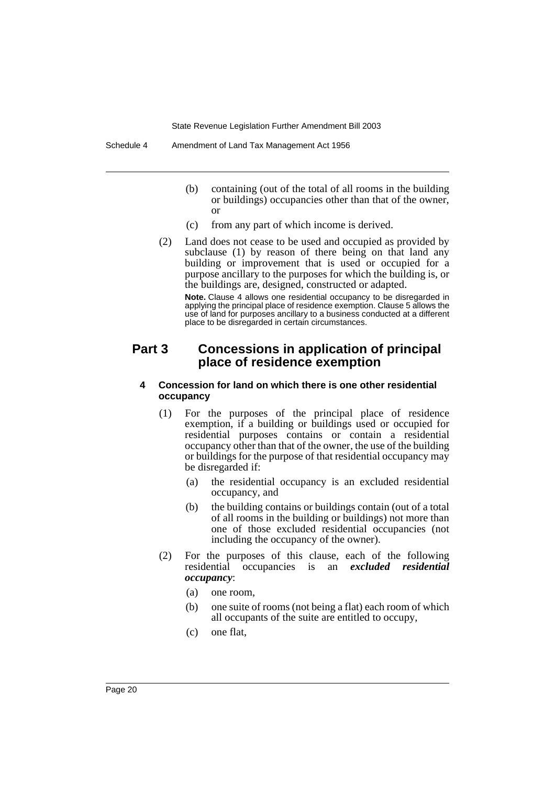- (b) containing (out of the total of all rooms in the building or buildings) occupancies other than that of the owner, or
- (c) from any part of which income is derived.
- (2) Land does not cease to be used and occupied as provided by subclause (1) by reason of there being on that land any building or improvement that is used or occupied for a purpose ancillary to the purposes for which the building is, or the buildings are, designed, constructed or adapted.

**Note.** Clause 4 allows one residential occupancy to be disregarded in applying the principal place of residence exemption. Clause 5 allows the use of land for purposes ancillary to a business conducted at a different place to be disregarded in certain circumstances.

### **Part 3 Concessions in application of principal place of residence exemption**

#### **4 Concession for land on which there is one other residential occupancy**

- (1) For the purposes of the principal place of residence exemption, if a building or buildings used or occupied for residential purposes contains or contain a residential occupancy other than that of the owner, the use of the building or buildings for the purpose of that residential occupancy may be disregarded if:
	- (a) the residential occupancy is an excluded residential occupancy, and
	- (b) the building contains or buildings contain (out of a total of all rooms in the building or buildings) not more than one of those excluded residential occupancies (not including the occupancy of the owner).
- (2) For the purposes of this clause, each of the following residential occupancies is an *excluded residential occupancy*:
	- (a) one room,
	- (b) one suite of rooms (not being a flat) each room of which all occupants of the suite are entitled to occupy,
	- (c) one flat,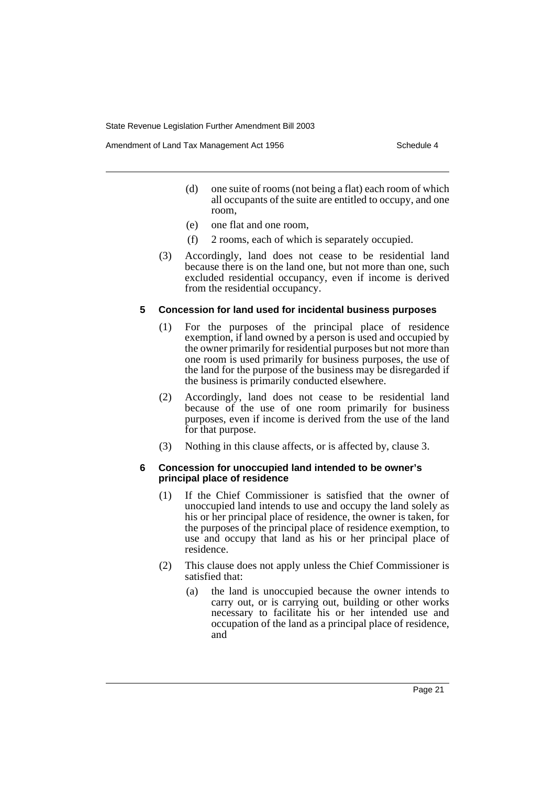Amendment of Land Tax Management Act 1956 Schedule 4

- (d) one suite of rooms (not being a flat) each room of which all occupants of the suite are entitled to occupy, and one room,
- (e) one flat and one room,
- (f) 2 rooms, each of which is separately occupied.
- (3) Accordingly, land does not cease to be residential land because there is on the land one, but not more than one, such excluded residential occupancy, even if income is derived from the residential occupancy.

#### **5 Concession for land used for incidental business purposes**

- (1) For the purposes of the principal place of residence exemption, if land owned by a person is used and occupied by the owner primarily for residential purposes but not more than one room is used primarily for business purposes, the use of the land for the purpose of the business may be disregarded if the business is primarily conducted elsewhere.
- (2) Accordingly, land does not cease to be residential land because of the use of one room primarily for business purposes, even if income is derived from the use of the land for that purpose.
- (3) Nothing in this clause affects, or is affected by, clause 3.

#### **6 Concession for unoccupied land intended to be owner's principal place of residence**

- (1) If the Chief Commissioner is satisfied that the owner of unoccupied land intends to use and occupy the land solely as his or her principal place of residence, the owner is taken, for the purposes of the principal place of residence exemption, to use and occupy that land as his or her principal place of residence.
- (2) This clause does not apply unless the Chief Commissioner is satisfied that:
	- (a) the land is unoccupied because the owner intends to carry out, or is carrying out, building or other works necessary to facilitate his or her intended use and occupation of the land as a principal place of residence, and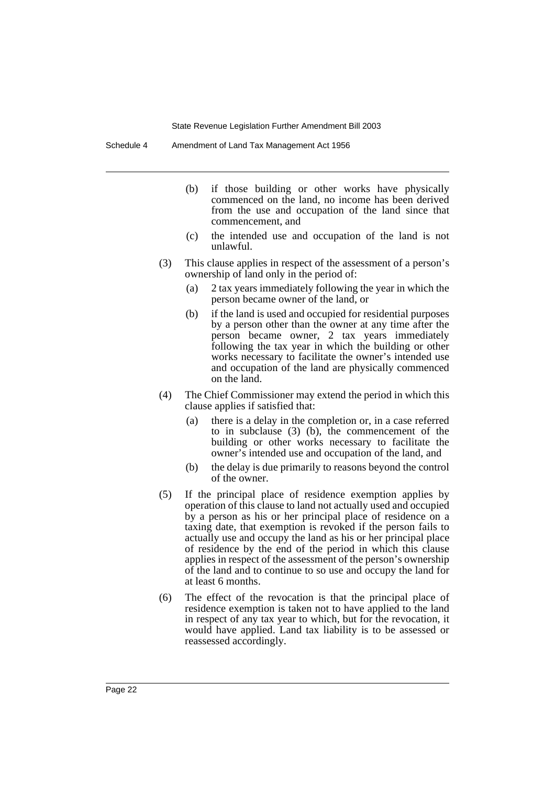Schedule 4 Amendment of Land Tax Management Act 1956

- (b) if those building or other works have physically commenced on the land, no income has been derived from the use and occupation of the land since that commencement, and
- (c) the intended use and occupation of the land is not unlawful.
- (3) This clause applies in respect of the assessment of a person's ownership of land only in the period of:
	- (a) 2 tax years immediately following the year in which the person became owner of the land, or
	- (b) if the land is used and occupied for residential purposes by a person other than the owner at any time after the person became owner, 2 tax years immediately following the tax year in which the building or other works necessary to facilitate the owner's intended use and occupation of the land are physically commenced on the land.
- (4) The Chief Commissioner may extend the period in which this clause applies if satisfied that:
	- (a) there is a delay in the completion or, in a case referred to in subclause (3) (b), the commencement of the building or other works necessary to facilitate the owner's intended use and occupation of the land, and
	- (b) the delay is due primarily to reasons beyond the control of the owner.
- (5) If the principal place of residence exemption applies by operation of this clause to land not actually used and occupied by a person as his or her principal place of residence on a taxing date, that exemption is revoked if the person fails to actually use and occupy the land as his or her principal place of residence by the end of the period in which this clause applies in respect of the assessment of the person's ownership of the land and to continue to so use and occupy the land for at least 6 months.
- (6) The effect of the revocation is that the principal place of residence exemption is taken not to have applied to the land in respect of any tax year to which, but for the revocation, it would have applied. Land tax liability is to be assessed or reassessed accordingly.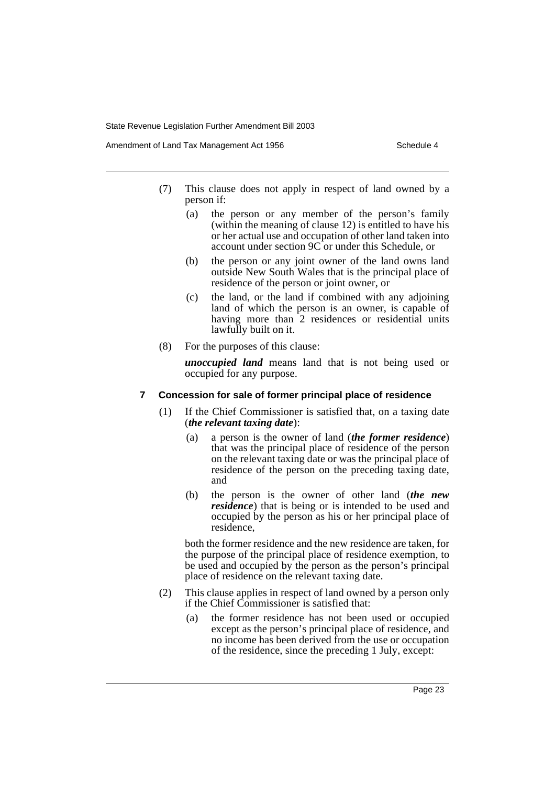Amendment of Land Tax Management Act 1956 Schedule 4

- (7) This clause does not apply in respect of land owned by a person if:
	- (a) the person or any member of the person's family (within the meaning of clause 12) is entitled to have his or her actual use and occupation of other land taken into account under section 9C or under this Schedule, or
	- (b) the person or any joint owner of the land owns land outside New South Wales that is the principal place of residence of the person or joint owner, or
	- (c) the land, or the land if combined with any adjoining land of which the person is an owner, is capable of having more than 2 residences or residential units lawfully built on it.
- (8) For the purposes of this clause:

*unoccupied land* means land that is not being used or occupied for any purpose.

#### **7 Concession for sale of former principal place of residence**

- (1) If the Chief Commissioner is satisfied that, on a taxing date (*the relevant taxing date*):
	- (a) a person is the owner of land (*the former residence*) that was the principal place of residence of the person on the relevant taxing date or was the principal place of residence of the person on the preceding taxing date, and
	- (b) the person is the owner of other land (*the new residence*) that is being or is intended to be used and occupied by the person as his or her principal place of residence,

both the former residence and the new residence are taken, for the purpose of the principal place of residence exemption, to be used and occupied by the person as the person's principal place of residence on the relevant taxing date.

- (2) This clause applies in respect of land owned by a person only if the Chief Commissioner is satisfied that:
	- (a) the former residence has not been used or occupied except as the person's principal place of residence, and no income has been derived from the use or occupation of the residence, since the preceding 1 July, except: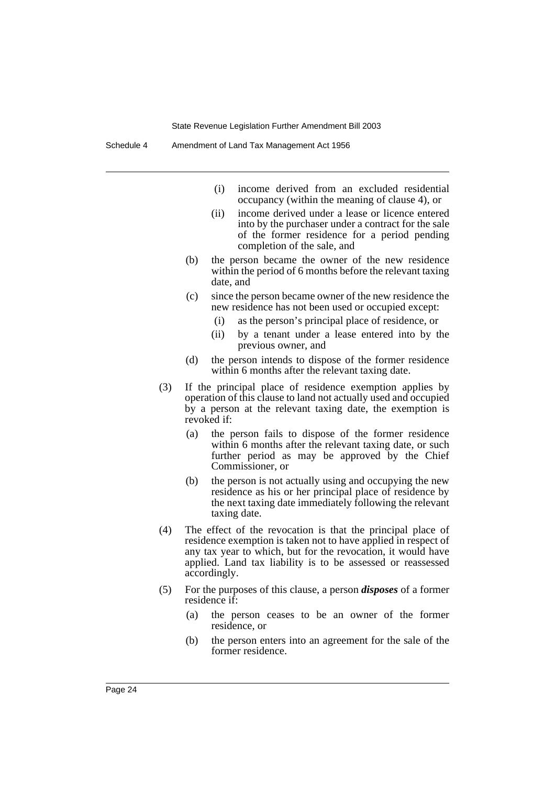- (i) income derived from an excluded residential occupancy (within the meaning of clause 4), or
- (ii) income derived under a lease or licence entered into by the purchaser under a contract for the sale of the former residence for a period pending completion of the sale, and
- (b) the person became the owner of the new residence within the period of 6 months before the relevant taxing date, and
- (c) since the person became owner of the new residence the new residence has not been used or occupied except:
	- (i) as the person's principal place of residence, or
	- (ii) by a tenant under a lease entered into by the previous owner, and
- (d) the person intends to dispose of the former residence within 6 months after the relevant taxing date.
- (3) If the principal place of residence exemption applies by operation of this clause to land not actually used and occupied by a person at the relevant taxing date, the exemption is revoked if:
	- (a) the person fails to dispose of the former residence within 6 months after the relevant taxing date, or such further period as may be approved by the Chief Commissioner, or
	- (b) the person is not actually using and occupying the new residence as his or her principal place of residence by the next taxing date immediately following the relevant taxing date.
- (4) The effect of the revocation is that the principal place of residence exemption is taken not to have applied in respect of any tax year to which, but for the revocation, it would have applied. Land tax liability is to be assessed or reassessed accordingly.
- (5) For the purposes of this clause, a person *disposes* of a former residence if:
	- (a) the person ceases to be an owner of the former residence, or
	- (b) the person enters into an agreement for the sale of the former residence.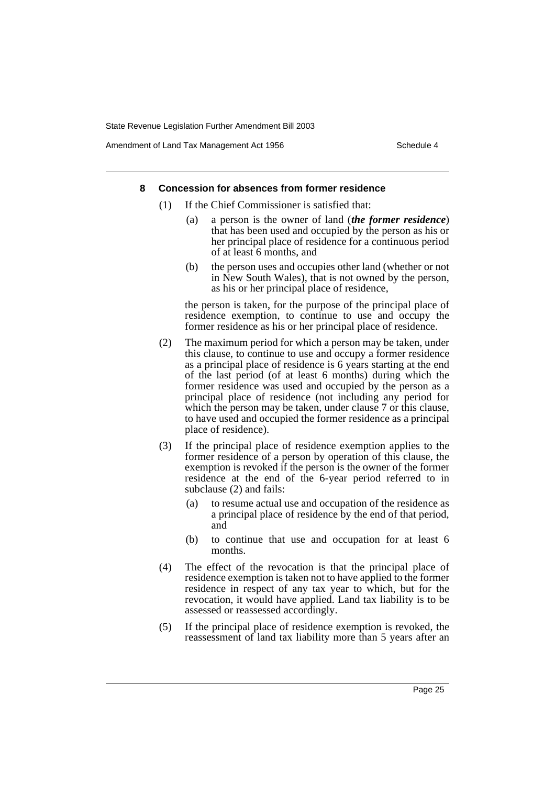Amendment of Land Tax Management Act 1956 Schedule 4

#### **8 Concession for absences from former residence**

- (1) If the Chief Commissioner is satisfied that:
	- (a) a person is the owner of land (*the former residence*) that has been used and occupied by the person as his or her principal place of residence for a continuous period of at least 6 months, and
	- (b) the person uses and occupies other land (whether or not in New South Wales), that is not owned by the person, as his or her principal place of residence,

the person is taken, for the purpose of the principal place of residence exemption, to continue to use and occupy the former residence as his or her principal place of residence.

- (2) The maximum period for which a person may be taken, under this clause, to continue to use and occupy a former residence as a principal place of residence is 6 years starting at the end of the last period (of at least 6 months) during which the former residence was used and occupied by the person as a principal place of residence (not including any period for which the person may be taken, under clause 7 or this clause, to have used and occupied the former residence as a principal place of residence).
- (3) If the principal place of residence exemption applies to the former residence of a person by operation of this clause, the exemption is revoked if the person is the owner of the former residence at the end of the 6-year period referred to in subclause (2) and fails:
	- (a) to resume actual use and occupation of the residence as a principal place of residence by the end of that period, and
	- (b) to continue that use and occupation for at least 6 months.
- (4) The effect of the revocation is that the principal place of residence exemption is taken not to have applied to the former residence in respect of any tax year to which, but for the revocation, it would have applied. Land tax liability is to be assessed or reassessed accordingly.
- (5) If the principal place of residence exemption is revoked, the reassessment of land tax liability more than 5 years after an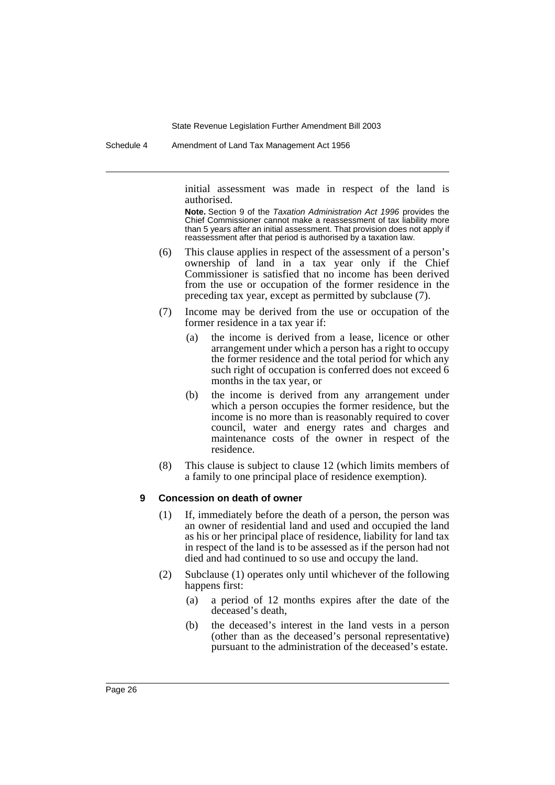Schedule 4 Amendment of Land Tax Management Act 1956

initial assessment was made in respect of the land is authorised.

**Note.** Section 9 of the Taxation Administration Act 1996 provides the Chief Commissioner cannot make a reassessment of tax liability more than 5 years after an initial assessment. That provision does not apply if reassessment after that period is authorised by a taxation law.

- (6) This clause applies in respect of the assessment of a person's ownership of land in a tax year only if the Chief Commissioner is satisfied that no income has been derived from the use or occupation of the former residence in the preceding tax year, except as permitted by subclause (7).
- (7) Income may be derived from the use or occupation of the former residence in a tax year if:
	- (a) the income is derived from a lease, licence or other arrangement under which a person has a right to occupy the former residence and the total period for which any such right of occupation is conferred does not exceed 6 months in the tax year, or
	- (b) the income is derived from any arrangement under which a person occupies the former residence, but the income is no more than is reasonably required to cover council, water and energy rates and charges and maintenance costs of the owner in respect of the residence.
- (8) This clause is subject to clause 12 (which limits members of a family to one principal place of residence exemption).

#### **9 Concession on death of owner**

- (1) If, immediately before the death of a person, the person was an owner of residential land and used and occupied the land as his or her principal place of residence, liability for land tax in respect of the land is to be assessed as if the person had not died and had continued to so use and occupy the land.
- (2) Subclause (1) operates only until whichever of the following happens first:
	- (a) a period of 12 months expires after the date of the deceased's death,
	- (b) the deceased's interest in the land vests in a person (other than as the deceased's personal representative) pursuant to the administration of the deceased's estate.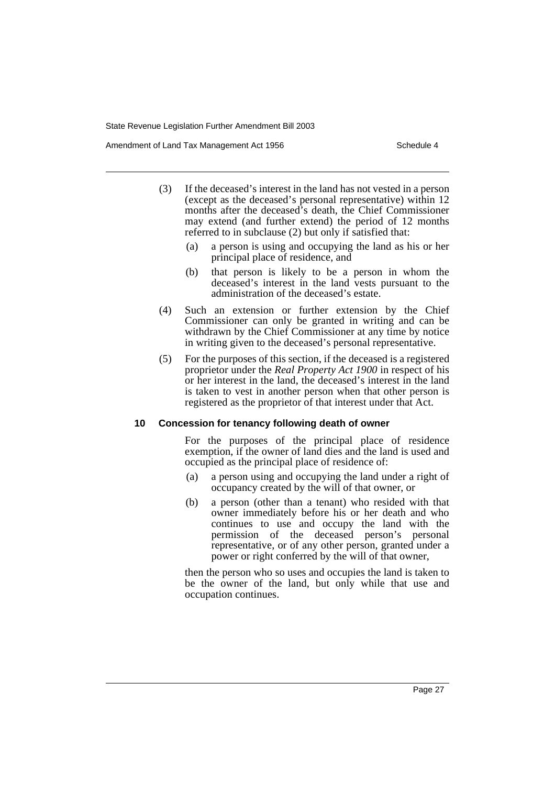Amendment of Land Tax Management Act 1956 Schedule 4

- (3) If the deceased's interest in the land has not vested in a person (except as the deceased's personal representative) within 12 months after the deceased's death, the Chief Commissioner may extend (and further extend) the period of 12 months referred to in subclause (2) but only if satisfied that:
	- (a) a person is using and occupying the land as his or her principal place of residence, and
	- (b) that person is likely to be a person in whom the deceased's interest in the land vests pursuant to the administration of the deceased's estate.
- (4) Such an extension or further extension by the Chief Commissioner can only be granted in writing and can be withdrawn by the Chief Commissioner at any time by notice in writing given to the deceased's personal representative.
- (5) For the purposes of this section, if the deceased is a registered proprietor under the *Real Property Act 1900* in respect of his or her interest in the land, the deceased's interest in the land is taken to vest in another person when that other person is registered as the proprietor of that interest under that Act.

#### **10 Concession for tenancy following death of owner**

For the purposes of the principal place of residence exemption, if the owner of land dies and the land is used and occupied as the principal place of residence of:

- (a) a person using and occupying the land under a right of occupancy created by the will of that owner, or
- (b) a person (other than a tenant) who resided with that owner immediately before his or her death and who continues to use and occupy the land with the permission of the deceased person's personal representative, or of any other person, granted under a power or right conferred by the will of that owner,

then the person who so uses and occupies the land is taken to be the owner of the land, but only while that use and occupation continues.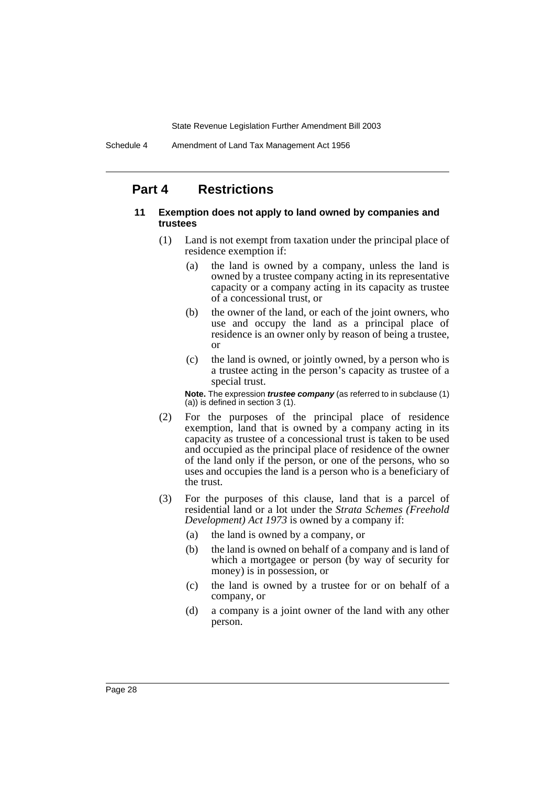### **Part 4 Restrictions**

#### **11 Exemption does not apply to land owned by companies and trustees**

- (1) Land is not exempt from taxation under the principal place of residence exemption if:
	- (a) the land is owned by a company, unless the land is owned by a trustee company acting in its representative capacity or a company acting in its capacity as trustee of a concessional trust, or
	- (b) the owner of the land, or each of the joint owners, who use and occupy the land as a principal place of residence is an owner only by reason of being a trustee, or
	- (c) the land is owned, or jointly owned, by a person who is a trustee acting in the person's capacity as trustee of a special trust.

**Note.** The expression **trustee company** (as referred to in subclause (1) (a)) is defined in section 3 (1).

- (2) For the purposes of the principal place of residence exemption, land that is owned by a company acting in its capacity as trustee of a concessional trust is taken to be used and occupied as the principal place of residence of the owner of the land only if the person, or one of the persons, who so uses and occupies the land is a person who is a beneficiary of the trust.
- (3) For the purposes of this clause, land that is a parcel of residential land or a lot under the *Strata Schemes (Freehold Development) Act 1973* is owned by a company if:
	- (a) the land is owned by a company, or
	- (b) the land is owned on behalf of a company and is land of which a mortgagee or person (by way of security for money) is in possession, or
	- (c) the land is owned by a trustee for or on behalf of a company, or
	- (d) a company is a joint owner of the land with any other person.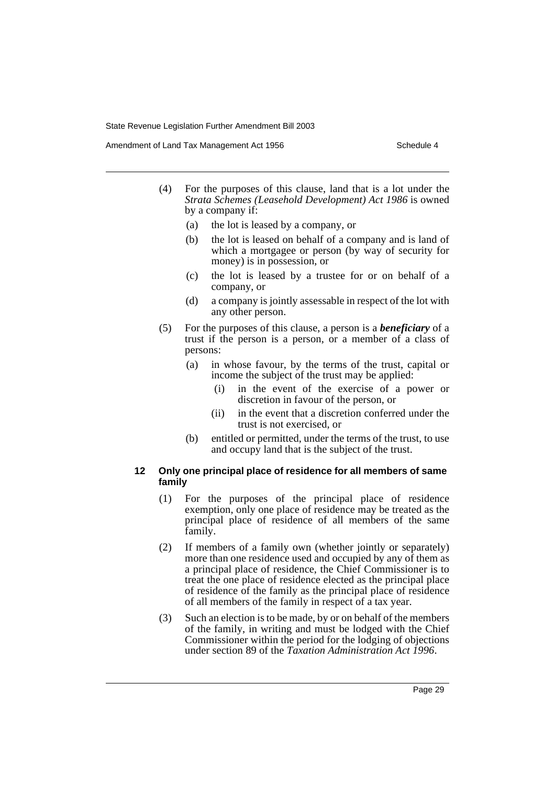Amendment of Land Tax Management Act 1956 Schedule 4

- (4) For the purposes of this clause, land that is a lot under the *Strata Schemes (Leasehold Development) Act 1986* is owned by a company if:
	- (a) the lot is leased by a company, or
	- (b) the lot is leased on behalf of a company and is land of which a mortgagee or person (by way of security for money) is in possession, or
	- (c) the lot is leased by a trustee for or on behalf of a company, or
	- (d) a company is jointly assessable in respect of the lot with any other person.
- (5) For the purposes of this clause, a person is a *beneficiary* of a trust if the person is a person, or a member of a class of persons:
	- (a) in whose favour, by the terms of the trust, capital or income the subject of the trust may be applied:
		- (i) in the event of the exercise of a power or discretion in favour of the person, or
		- (ii) in the event that a discretion conferred under the trust is not exercised, or
	- (b) entitled or permitted, under the terms of the trust, to use and occupy land that is the subject of the trust.

#### **12 Only one principal place of residence for all members of same family**

- (1) For the purposes of the principal place of residence exemption, only one place of residence may be treated as the principal place of residence of all members of the same family.
- (2) If members of a family own (whether jointly or separately) more than one residence used and occupied by any of them as a principal place of residence, the Chief Commissioner is to treat the one place of residence elected as the principal place of residence of the family as the principal place of residence of all members of the family in respect of a tax year.
- (3) Such an election is to be made, by or on behalf of the members of the family, in writing and must be lodged with the Chief Commissioner within the period for the lodging of objections under section 89 of the *Taxation Administration Act 1996*.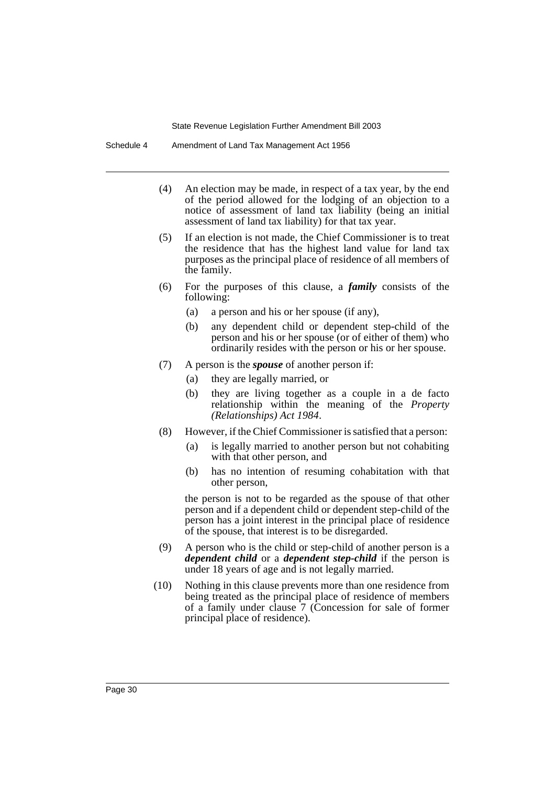Schedule 4 Amendment of Land Tax Management Act 1956

- (4) An election may be made, in respect of a tax year, by the end of the period allowed for the lodging of an objection to a notice of assessment of land tax liability (being an initial assessment of land tax liability) for that tax year.
- (5) If an election is not made, the Chief Commissioner is to treat the residence that has the highest land value for land tax purposes as the principal place of residence of all members of the family.
- (6) For the purposes of this clause, a *family* consists of the following:
	- (a) a person and his or her spouse (if any),
	- (b) any dependent child or dependent step-child of the person and his or her spouse (or of either of them) who ordinarily resides with the person or his or her spouse.
- (7) A person is the *spouse* of another person if:
	- (a) they are legally married, or
	- (b) they are living together as a couple in a de facto relationship within the meaning of the *Property (Relationships) Act 1984*.
- (8) However, if the Chief Commissioner is satisfied that a person:
	- (a) is legally married to another person but not cohabiting with that other person, and
	- (b) has no intention of resuming cohabitation with that other person,

the person is not to be regarded as the spouse of that other person and if a dependent child or dependent step-child of the person has a joint interest in the principal place of residence of the spouse, that interest is to be disregarded.

- (9) A person who is the child or step-child of another person is a *dependent child* or a *dependent step-child* if the person is under 18 years of age and is not legally married.
- (10) Nothing in this clause prevents more than one residence from being treated as the principal place of residence of members of a family under clause 7 (Concession for sale of former principal place of residence).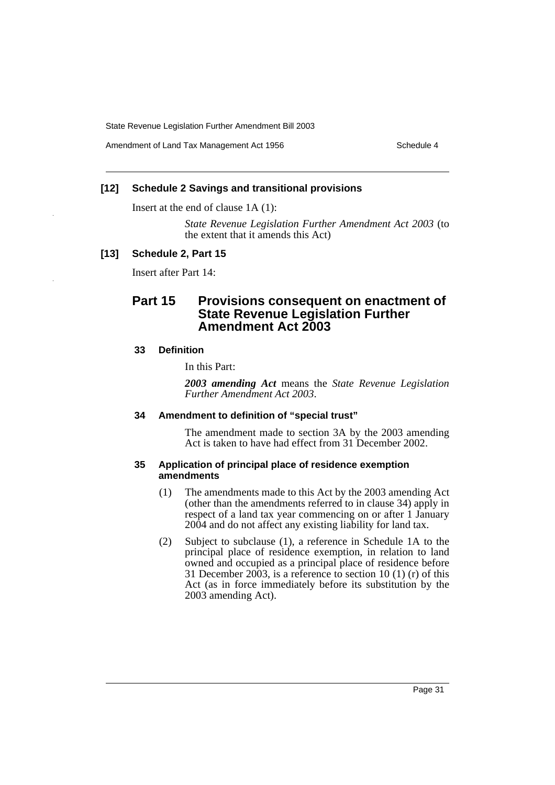Amendment of Land Tax Management Act 1956 Schedule 4

#### **[12] Schedule 2 Savings and transitional provisions**

Insert at the end of clause 1A (1):

*State Revenue Legislation Further Amendment Act 2003* (to the extent that it amends this Act)

### **[13] Schedule 2, Part 15**

Insert after Part 14:

### **Part 15 Provisions consequent on enactment of State Revenue Legislation Further Amendment Act 2003**

#### **33 Definition**

In this Part:

*2003 amending Act* means the *State Revenue Legislation Further Amendment Act 2003*.

### **34 Amendment to definition of "special trust"**

The amendment made to section 3A by the 2003 amending Act is taken to have had effect from 31 December 2002.

#### **35 Application of principal place of residence exemption amendments**

- (1) The amendments made to this Act by the 2003 amending Act (other than the amendments referred to in clause 34) apply in respect of a land tax year commencing on or after 1 January 2004 and do not affect any existing liability for land tax.
- (2) Subject to subclause (1), a reference in Schedule 1A to the principal place of residence exemption, in relation to land owned and occupied as a principal place of residence before 31 December 2003, is a reference to section 10 (1) (r) of this Act (as in force immediately before its substitution by the 2003 amending Act).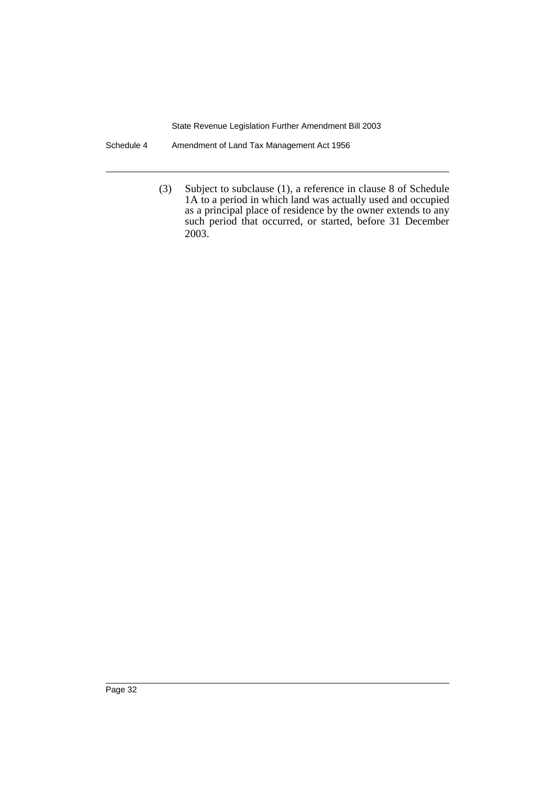Schedule 4 Amendment of Land Tax Management Act 1956

(3) Subject to subclause (1), a reference in clause 8 of Schedule 1A to a period in which land was actually used and occupied as a principal place of residence by the owner extends to any such period that occurred, or started, before 31 December 2003.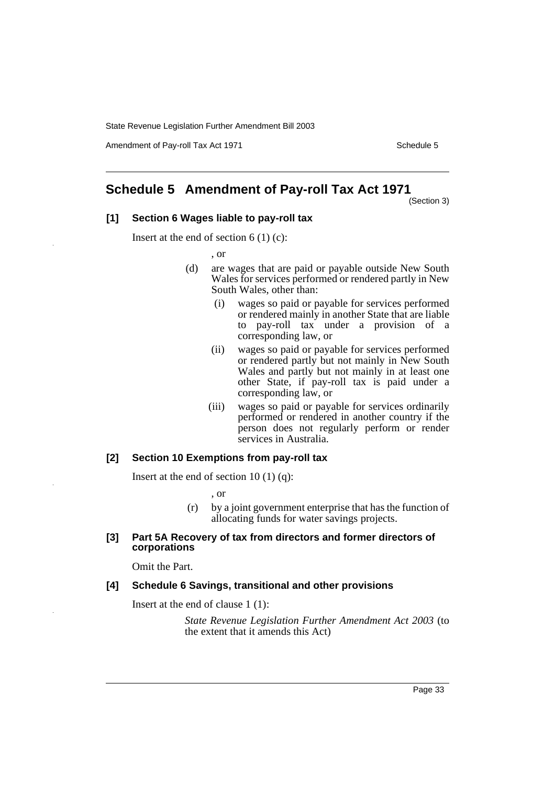Amendment of Pay-roll Tax Act 1971 Schedule 5

### **Schedule 5 Amendment of Pay-roll Tax Act 1971**

(Section 3)

#### **[1] Section 6 Wages liable to pay-roll tax**

Insert at the end of section  $6(1)(c)$ :

, or

- (d) are wages that are paid or payable outside New South Wales for services performed or rendered partly in New South Wales, other than:
	- (i) wages so paid or payable for services performed or rendered mainly in another State that are liable to pay-roll tax under a provision of a corresponding law, or
	- (ii) wages so paid or payable for services performed or rendered partly but not mainly in New South Wales and partly but not mainly in at least one other State, if pay-roll tax is paid under a corresponding law, or
	- (iii) wages so paid or payable for services ordinarily performed or rendered in another country if the person does not regularly perform or render services in Australia.

#### **[2] Section 10 Exemptions from pay-roll tax**

Insert at the end of section 10  $(1)$   $(q)$ :

, or

(r) by a joint government enterprise that has the function of allocating funds for water savings projects.

#### **[3] Part 5A Recovery of tax from directors and former directors of corporations**

Omit the Part.

#### **[4] Schedule 6 Savings, transitional and other provisions**

Insert at the end of clause 1 (1):

*State Revenue Legislation Further Amendment Act 2003* (to the extent that it amends this Act)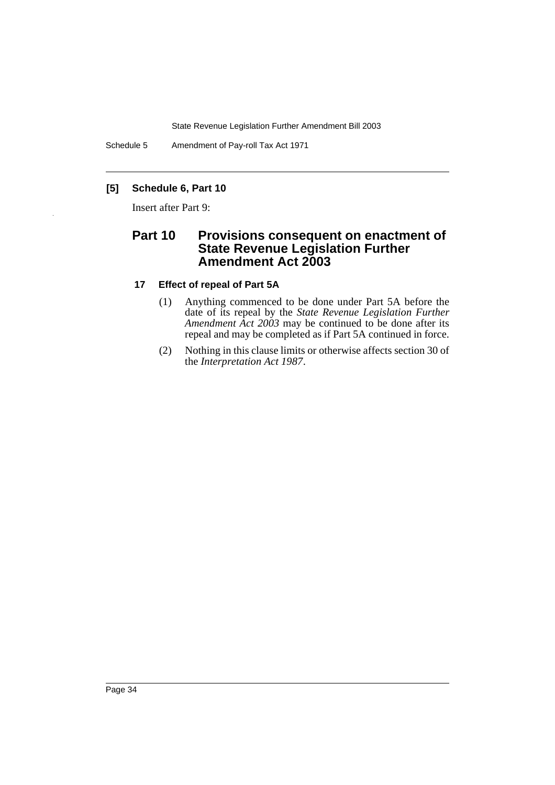Schedule 5 Amendment of Pay-roll Tax Act 1971

### **[5] Schedule 6, Part 10**

Insert after Part 9:

### **Part 10 Provisions consequent on enactment of State Revenue Legislation Further Amendment Act 2003**

#### **17 Effect of repeal of Part 5A**

- (1) Anything commenced to be done under Part 5A before the date of its repeal by the *State Revenue Legislation Further Amendment Act 2003* may be continued to be done after its repeal and may be completed as if Part 5A continued in force.
- (2) Nothing in this clause limits or otherwise affects section 30 of the *Interpretation Act 1987*.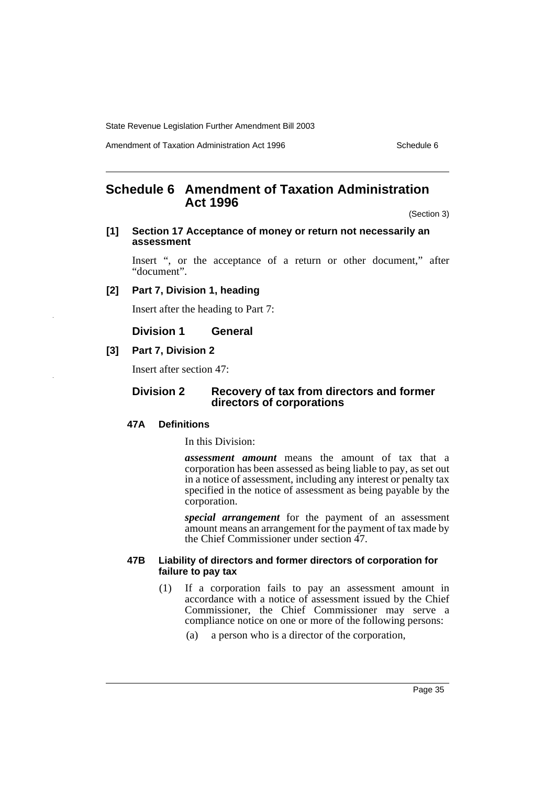Amendment of Taxation Administration Act 1996 Schedule 6

### **Schedule 6 Amendment of Taxation Administration Act 1996**

(Section 3)

#### **[1] Section 17 Acceptance of money or return not necessarily an assessment**

Insert ", or the acceptance of a return or other document," after "document".

#### **[2] Part 7, Division 1, heading**

Insert after the heading to Part 7:

**Division 1 General**

#### **[3] Part 7, Division 2**

Insert after section 47:

#### **Division 2 Recovery of tax from directors and former directors of corporations**

#### **47A Definitions**

In this Division:

*assessment amount* means the amount of tax that a corporation has been assessed as being liable to pay, as set out in a notice of assessment, including any interest or penalty tax specified in the notice of assessment as being payable by the corporation.

*special arrangement* for the payment of an assessment amount means an arrangement for the payment of tax made by the Chief Commissioner under section 47.

#### **47B Liability of directors and former directors of corporation for failure to pay tax**

- (1) If a corporation fails to pay an assessment amount in accordance with a notice of assessment issued by the Chief Commissioner, the Chief Commissioner may serve a compliance notice on one or more of the following persons:
	- (a) a person who is a director of the corporation,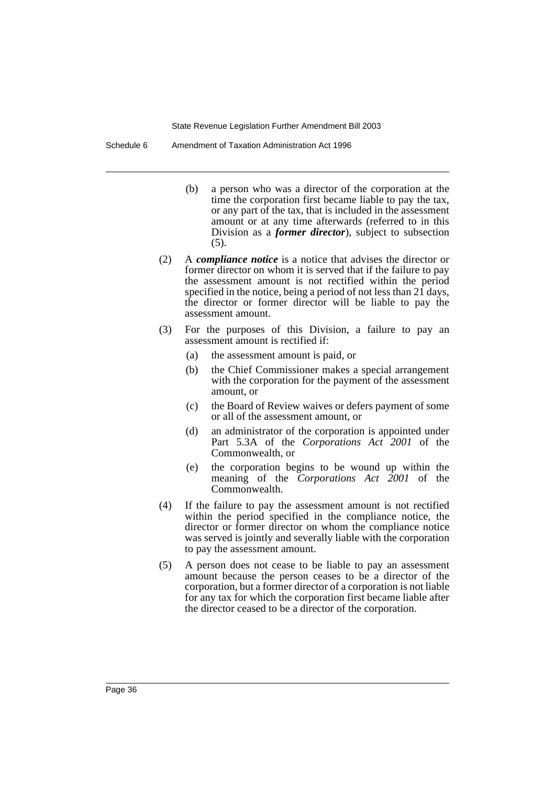Schedule 6 Amendment of Taxation Administration Act 1996

- (b) a person who was a director of the corporation at the time the corporation first became liable to pay the tax, or any part of the tax, that is included in the assessment amount or at any time afterwards (referred to in this Division as a *former director*), subject to subsection (5).
- (2) A *compliance notice* is a notice that advises the director or former director on whom it is served that if the failure to pay the assessment amount is not rectified within the period specified in the notice, being a period of not less than  $2\bar{1}$  days, the director or former director will be liable to pay the assessment amount.
- (3) For the purposes of this Division, a failure to pay an assessment amount is rectified if:
	- (a) the assessment amount is paid, or
	- (b) the Chief Commissioner makes a special arrangement with the corporation for the payment of the assessment amount, or
	- (c) the Board of Review waives or defers payment of some or all of the assessment amount, or
	- (d) an administrator of the corporation is appointed under Part 5.3A of the *Corporations Act 2001* of the Commonwealth, or
	- (e) the corporation begins to be wound up within the meaning of the *Corporations Act 2001* of the Commonwealth.
- (4) If the failure to pay the assessment amount is not rectified within the period specified in the compliance notice, the director or former director on whom the compliance notice was served is jointly and severally liable with the corporation to pay the assessment amount.
- (5) A person does not cease to be liable to pay an assessment amount because the person ceases to be a director of the corporation, but a former director of a corporation is not liable for any tax for which the corporation first became liable after the director ceased to be a director of the corporation.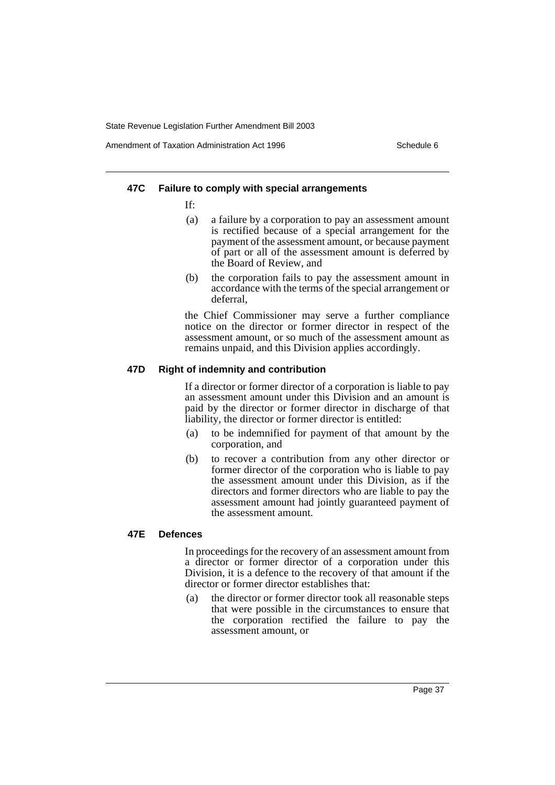Amendment of Taxation Administration Act 1996 Schedule 6

#### **47C Failure to comply with special arrangements**

If:

- (a) a failure by a corporation to pay an assessment amount is rectified because of a special arrangement for the payment of the assessment amount, or because payment of part or all of the assessment amount is deferred by the Board of Review, and
- (b) the corporation fails to pay the assessment amount in accordance with the terms of the special arrangement or deferral,

the Chief Commissioner may serve a further compliance notice on the director or former director in respect of the assessment amount, or so much of the assessment amount as remains unpaid, and this Division applies accordingly.

#### **47D Right of indemnity and contribution**

If a director or former director of a corporation is liable to pay an assessment amount under this Division and an amount is paid by the director or former director in discharge of that liability, the director or former director is entitled:

- (a) to be indemnified for payment of that amount by the corporation, and
- (b) to recover a contribution from any other director or former director of the corporation who is liable to pay the assessment amount under this Division, as if the directors and former directors who are liable to pay the assessment amount had jointly guaranteed payment of the assessment amount.

#### **47E Defences**

In proceedings for the recovery of an assessment amount from a director or former director of a corporation under this Division, it is a defence to the recovery of that amount if the director or former director establishes that:

(a) the director or former director took all reasonable steps that were possible in the circumstances to ensure that the corporation rectified the failure to pay the assessment amount, or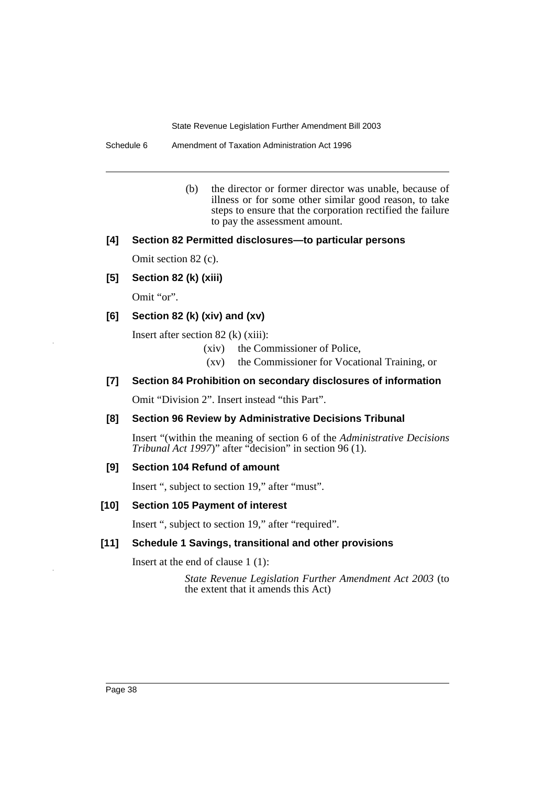Schedule 6 Amendment of Taxation Administration Act 1996

(b) the director or former director was unable, because of illness or for some other similar good reason, to take steps to ensure that the corporation rectified the failure to pay the assessment amount.

#### **[4] Section 82 Permitted disclosures—to particular persons**

Omit section 82 (c).

**[5] Section 82 (k) (xiii)**

Omit "or".

#### **[6] Section 82 (k) (xiv) and (xv)**

Insert after section 82 (k) (xiii):

- (xiv) the Commissioner of Police,
- (xv) the Commissioner for Vocational Training, or

#### **[7] Section 84 Prohibition on secondary disclosures of information**

Omit "Division 2". Insert instead "this Part".

### **[8] Section 96 Review by Administrative Decisions Tribunal**

Insert "(within the meaning of section 6 of the *Administrative Decisions Tribunal Act 1997*)" after "decision" in section 96 (1).

#### **[9] Section 104 Refund of amount**

Insert ", subject to section 19," after "must".

#### **[10] Section 105 Payment of interest**

Insert ", subject to section 19," after "required".

#### **[11] Schedule 1 Savings, transitional and other provisions**

Insert at the end of clause 1 (1):

*State Revenue Legislation Further Amendment Act 2003* (to the extent that it amends this Act)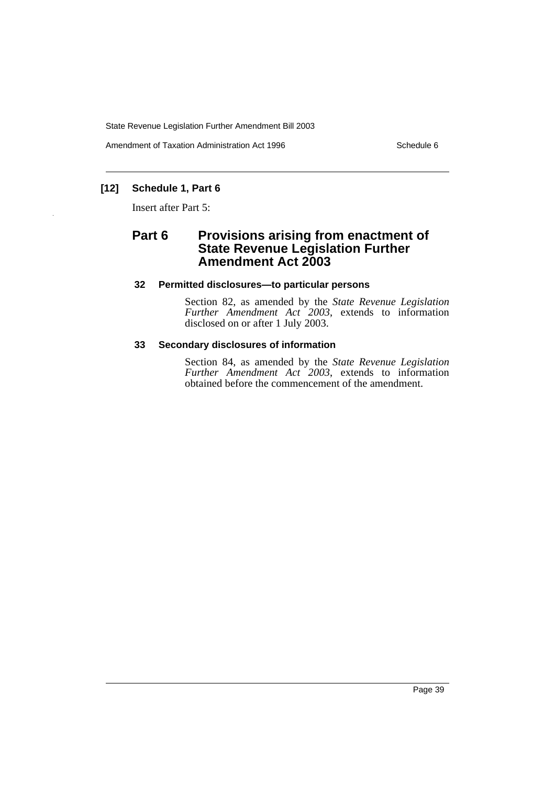Amendment of Taxation Administration Act 1996 Schedule 6

### **[12] Schedule 1, Part 6**

Insert after Part 5:

### **Part 6 Provisions arising from enactment of State Revenue Legislation Further Amendment Act 2003**

#### **32 Permitted disclosures—to particular persons**

Section 82, as amended by the *State Revenue Legislation Further Amendment Act 2003*, extends to information disclosed on or after 1 July 2003.

#### **33 Secondary disclosures of information**

Section 84, as amended by the *State Revenue Legislation Further Amendment Act 2003*, extends to information obtained before the commencement of the amendment.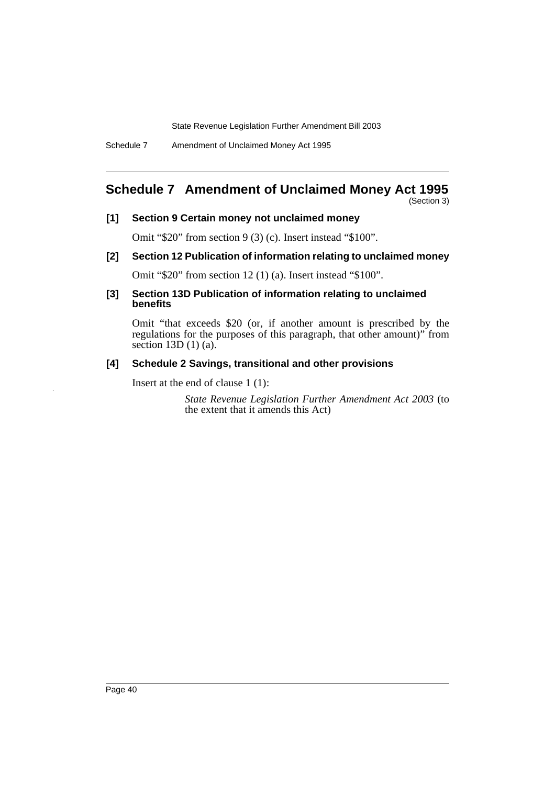Schedule 7 Amendment of Unclaimed Money Act 1995

# **Schedule 7 Amendment of Unclaimed Money Act 1995**

(Section 3)

#### **[1] Section 9 Certain money not unclaimed money**

Omit "\$20" from section 9 (3) (c). Insert instead "\$100".

**[2] Section 12 Publication of information relating to unclaimed money**

Omit "\$20" from section 12 (1) (a). Insert instead "\$100".

**[3] Section 13D Publication of information relating to unclaimed benefits**

Omit "that exceeds \$20 (or, if another amount is prescribed by the regulations for the purposes of this paragraph, that other amount)" from section  $13D(1)(a)$ .

#### **[4] Schedule 2 Savings, transitional and other provisions**

Insert at the end of clause 1 (1):

*State Revenue Legislation Further Amendment Act 2003* (to the extent that it amends this Act)